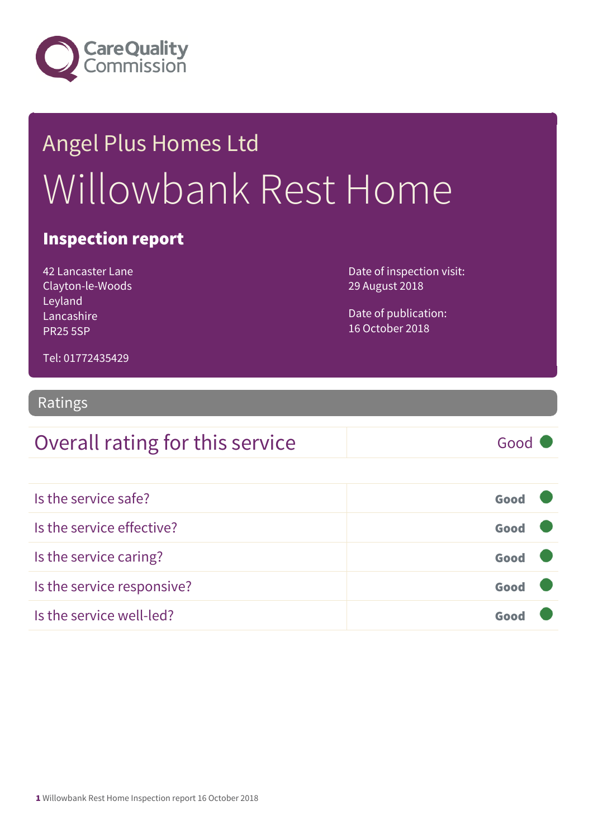

# Angel Plus Homes Ltd Willowbank Rest Home

#### Inspection report

42 Lancaster Lane Clayton-le-Woods Leyland Lancashire PR25 5SP

Date of inspection visit: 29 August 2018

Date of publication: 16 October 2018

Tel: 01772435429

#### Ratings

#### Overall rating for this service Good

| Is the service safe?       | Good |  |
|----------------------------|------|--|
| Is the service effective?  | Good |  |
| Is the service caring?     | Good |  |
| Is the service responsive? | Good |  |
| Is the service well-led?   | Goor |  |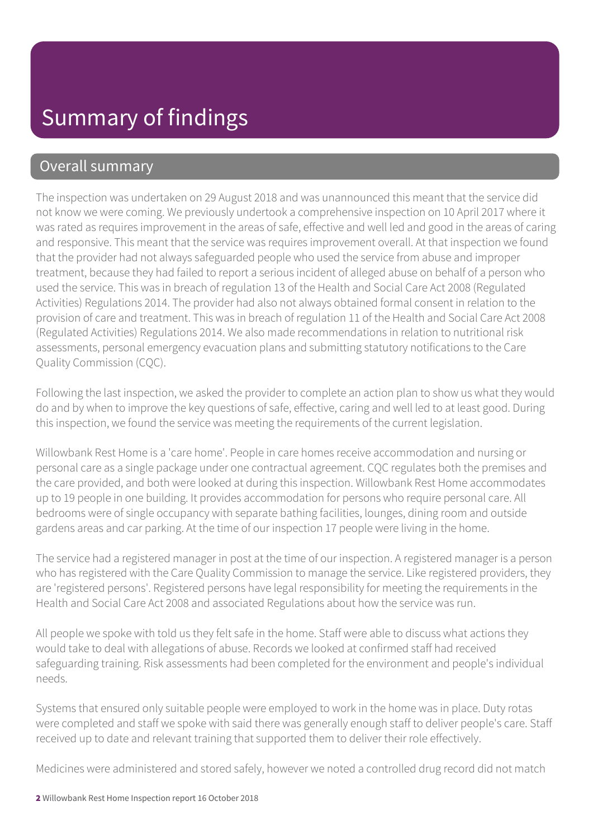#### Overall summary

The inspection was undertaken on 29 August 2018 and was unannounced this meant that the service did not know we were coming. We previously undertook a comprehensive inspection on 10 April 2017 where it was rated as requires improvement in the areas of safe, effective and well led and good in the areas of caring and responsive. This meant that the service was requires improvement overall. At that inspection we found that the provider had not always safeguarded people who used the service from abuse and improper treatment, because they had failed to report a serious incident of alleged abuse on behalf of a person who used the service. This was in breach of regulation 13 of the Health and Social Care Act 2008 (Regulated Activities) Regulations 2014. The provider had also not always obtained formal consent in relation to the provision of care and treatment. This was in breach of regulation 11 of the Health and Social Care Act 2008 (Regulated Activities) Regulations 2014. We also made recommendations in relation to nutritional risk assessments, personal emergency evacuation plans and submitting statutory notifications to the Care Quality Commission (CQC).

Following the last inspection, we asked the provider to complete an action plan to show us what they would do and by when to improve the key questions of safe, effective, caring and well led to at least good. During this inspection, we found the service was meeting the requirements of the current legislation.

Willowbank Rest Home is a 'care home'. People in care homes receive accommodation and nursing or personal care as a single package under one contractual agreement. CQC regulates both the premises and the care provided, and both were looked at during this inspection. Willowbank Rest Home accommodates up to 19 people in one building. It provides accommodation for persons who require personal care. All bedrooms were of single occupancy with separate bathing facilities, lounges, dining room and outside gardens areas and car parking. At the time of our inspection 17 people were living in the home.

The service had a registered manager in post at the time of our inspection. A registered manager is a person who has registered with the Care Quality Commission to manage the service. Like registered providers, they are 'registered persons'. Registered persons have legal responsibility for meeting the requirements in the Health and Social Care Act 2008 and associated Regulations about how the service was run.

All people we spoke with told us they felt safe in the home. Staff were able to discuss what actions they would take to deal with allegations of abuse. Records we looked at confirmed staff had received safeguarding training. Risk assessments had been completed for the environment and people's individual needs.

Systems that ensured only suitable people were employed to work in the home was in place. Duty rotas were completed and staff we spoke with said there was generally enough staff to deliver people's care. Staff received up to date and relevant training that supported them to deliver their role effectively.

Medicines were administered and stored safely, however we noted a controlled drug record did not match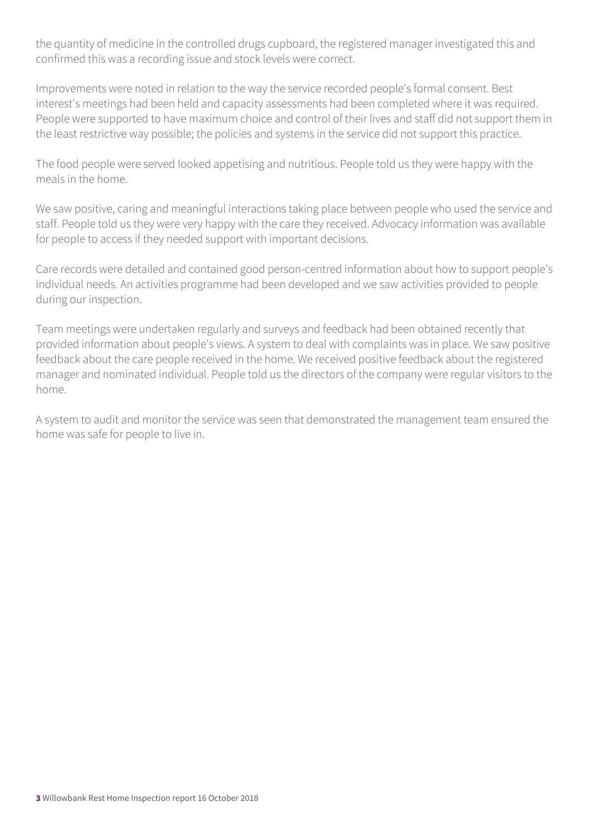the quantity of medicine in the controlled drugs cupboard, the registered manager investigated this and confirmed this was a recording issue and stock levels were correct.

Improvements were noted in relation to the way the service recorded people's formal consent. Best interest's meetings had been held and capacity assessments had been completed where it was required. People were supported to have maximum choice and control of their lives and staff did not support them in the least restrictive way possible; the policies and systems in the service did not support this practice.

The food people were served looked appetising and nutritious. People told us they were happy with the meals in the home.

We saw positive, caring and meaningful interactions taking place between people who used the service and staff. People told us they were very happy with the care they received. Advocacy information was available for people to access if they needed support with important decisions.

Care records were detailed and contained good person-centred information about how to support people's individual needs. An activities programme had been developed and we saw activities provided to people during our inspection.

Team meetings were undertaken regularly and surveys and feedback had been obtained recently that provided information about people's views. A system to deal with complaints was in place. We saw positive feedback about the care people received in the home. We received positive feedback about the registered manager and nominated individual. People told us the directors of the company were regular visitors to the home.

A system to audit and monitor the service was seen that demonstrated the management team ensured the home was safe for people to live in.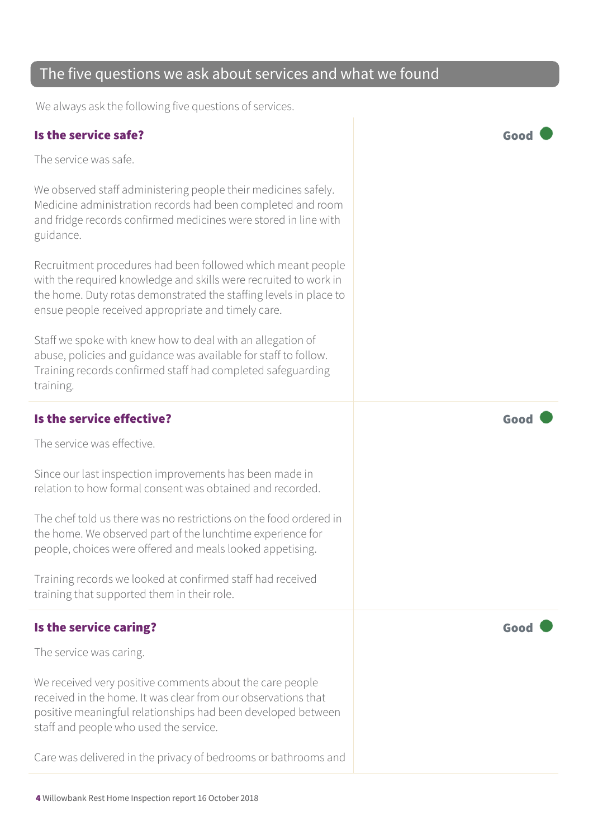#### The five questions we ask about services and what we found

We always ask the following five questions of services.

#### Is the service safe? Good

The service was safe.

We observed staff administering people their medicines safely. Medicine administration records had been completed and room and fridge records confirmed medicines were stored in line with guidance.

Recruitment procedures had been followed which meant people with the required knowledge and skills were recruited to work in the home. Duty rotas demonstrated the staffing levels in place to ensue people received appropriate and timely care.

Staff we spoke with knew how to deal with an allegation of abuse, policies and guidance was available for staff to follow. Training records confirmed staff had completed safeguarding training.

#### Is the service effective?  $\Box$  Good  $\Box$

The service was effective.

Since our last inspection improvements has been made in relation to how formal consent was obtained and recorded.

The chef told us there was no restrictions on the food ordered in the home. We observed part of the lunchtime experience for people, choices were offered and meals looked appetising.

Training records we looked at confirmed staff had received training that supported them in their role.

#### Is the service caring? The service caring of the service care of the service care of the service care of the service of the service care of the service care of the service care of the service care of the service care of th

The service was caring.

We received very positive comments about the care people received in the home. It was clear from our observations that positive meaningful relationships had been developed between staff and people who used the service.

Care was delivered in the privacy of bedrooms or bathrooms and

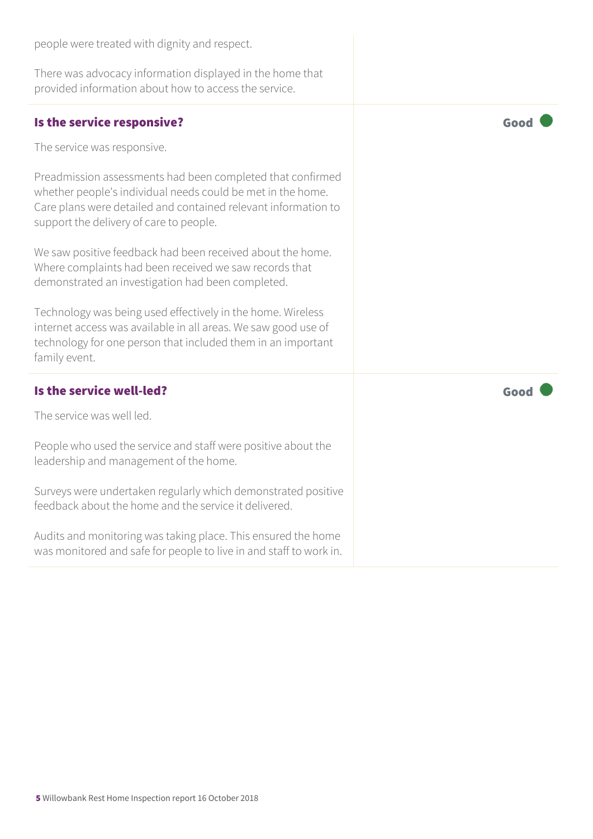| There was advocacy information displayed in the home that<br>provided information about how to access the service.                                                                                                                     |      |
|----------------------------------------------------------------------------------------------------------------------------------------------------------------------------------------------------------------------------------------|------|
| Is the service responsive?                                                                                                                                                                                                             | Good |
| The service was responsive.                                                                                                                                                                                                            |      |
| Preadmission assessments had been completed that confirmed<br>whether people's individual needs could be met in the home.<br>Care plans were detailed and contained relevant information to<br>support the delivery of care to people. |      |
| We saw positive feedback had been received about the home.<br>Where complaints had been received we saw records that<br>demonstrated an investigation had been completed.                                                              |      |
| Technology was being used effectively in the home. Wireless<br>internet access was available in all areas. We saw good use of<br>technology for one person that included them in an important<br>family event.                         |      |
| Is the service well-led?                                                                                                                                                                                                               | Good |
| The service was well led.                                                                                                                                                                                                              |      |
| People who used the service and staff were positive about the<br>leadership and management of the home.                                                                                                                                |      |
| Surveys were undertaken regularly which demonstrated positive<br>feedback about the home and the service it delivered.                                                                                                                 |      |
| Audits and monitoring was taking place. This ensured the home<br>was monitored and safe for people to live in and staff to work in.                                                                                                    |      |

people were treated with dignity and respect.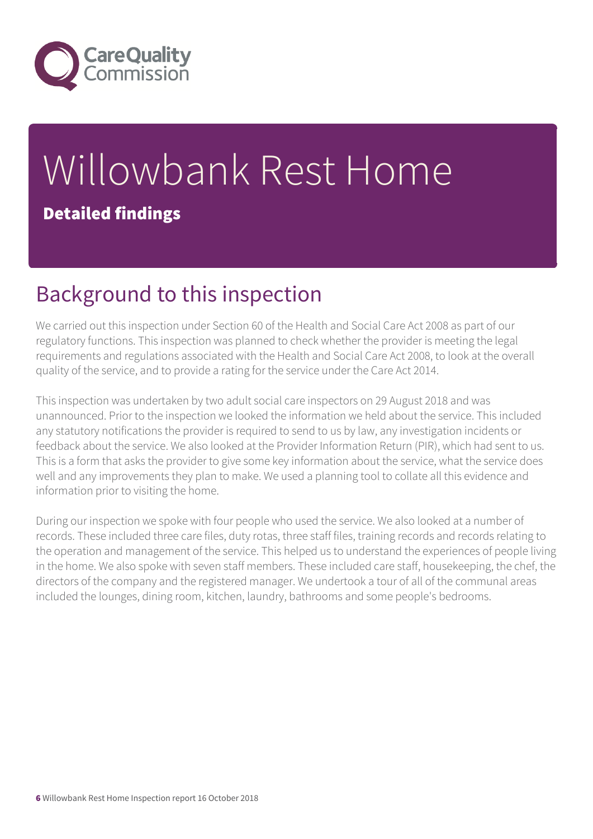

# Willowbank Rest Home Detailed findings

### Background to this inspection

We carried out this inspection under Section 60 of the Health and Social Care Act 2008 as part of our regulatory functions. This inspection was planned to check whether the provider is meeting the legal requirements and regulations associated with the Health and Social Care Act 2008, to look at the overall quality of the service, and to provide a rating for the service under the Care Act 2014.

This inspection was undertaken by two adult social care inspectors on 29 August 2018 and was unannounced. Prior to the inspection we looked the information we held about the service. This included any statutory notifications the provider is required to send to us by law, any investigation incidents or feedback about the service. We also looked at the Provider Information Return (PIR), which had sent to us. This is a form that asks the provider to give some key information about the service, what the service does well and any improvements they plan to make. We used a planning tool to collate all this evidence and information prior to visiting the home.

During our inspection we spoke with four people who used the service. We also looked at a number of records. These included three care files, duty rotas, three staff files, training records and records relating to the operation and management of the service. This helped us to understand the experiences of people living in the home. We also spoke with seven staff members. These included care staff, housekeeping, the chef, the directors of the company and the registered manager. We undertook a tour of all of the communal areas included the lounges, dining room, kitchen, laundry, bathrooms and some people's bedrooms.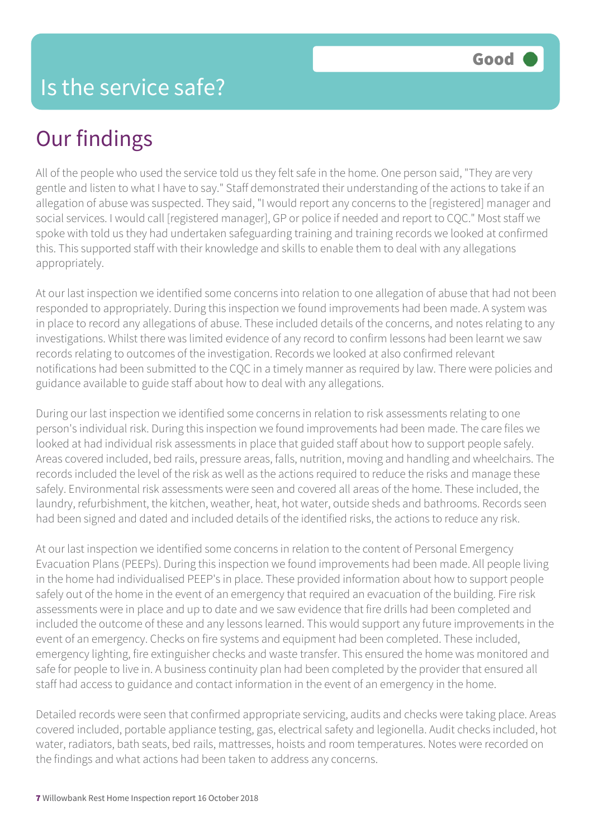## Our findings

All of the people who used the service told us they felt safe in the home. One person said, "They are very gentle and listen to what I have to say." Staff demonstrated their understanding of the actions to take if an allegation of abuse was suspected. They said, "I would report any concerns to the [registered] manager and social services. I would call [registered manager], GP or police if needed and report to CQC." Most staff we spoke with told us they had undertaken safeguarding training and training records we looked at confirmed this. This supported staff with their knowledge and skills to enable them to deal with any allegations appropriately.

At our last inspection we identified some concerns into relation to one allegation of abuse that had not been responded to appropriately. During this inspection we found improvements had been made. A system was in place to record any allegations of abuse. These included details of the concerns, and notes relating to any investigations. Whilst there was limited evidence of any record to confirm lessons had been learnt we saw records relating to outcomes of the investigation. Records we looked at also confirmed relevant notifications had been submitted to the CQC in a timely manner as required by law. There were policies and guidance available to guide staff about how to deal with any allegations.

During our last inspection we identified some concerns in relation to risk assessments relating to one person's individual risk. During this inspection we found improvements had been made. The care files we looked at had individual risk assessments in place that guided staff about how to support people safely. Areas covered included, bed rails, pressure areas, falls, nutrition, moving and handling and wheelchairs. The records included the level of the risk as well as the actions required to reduce the risks and manage these safely. Environmental risk assessments were seen and covered all areas of the home. These included, the laundry, refurbishment, the kitchen, weather, heat, hot water, outside sheds and bathrooms. Records seen had been signed and dated and included details of the identified risks, the actions to reduce any risk.

At our last inspection we identified some concerns in relation to the content of Personal Emergency Evacuation Plans (PEEPs). During this inspection we found improvements had been made. All people living in the home had individualised PEEP's in place. These provided information about how to support people safely out of the home in the event of an emergency that required an evacuation of the building. Fire risk assessments were in place and up to date and we saw evidence that fire drills had been completed and included the outcome of these and any lessons learned. This would support any future improvements in the event of an emergency. Checks on fire systems and equipment had been completed. These included, emergency lighting, fire extinguisher checks and waste transfer. This ensured the home was monitored and safe for people to live in. A business continuity plan had been completed by the provider that ensured all staff had access to guidance and contact information in the event of an emergency in the home.

Detailed records were seen that confirmed appropriate servicing, audits and checks were taking place. Areas covered included, portable appliance testing, gas, electrical safety and legionella. Audit checks included, hot water, radiators, bath seats, bed rails, mattresses, hoists and room temperatures. Notes were recorded on the findings and what actions had been taken to address any concerns.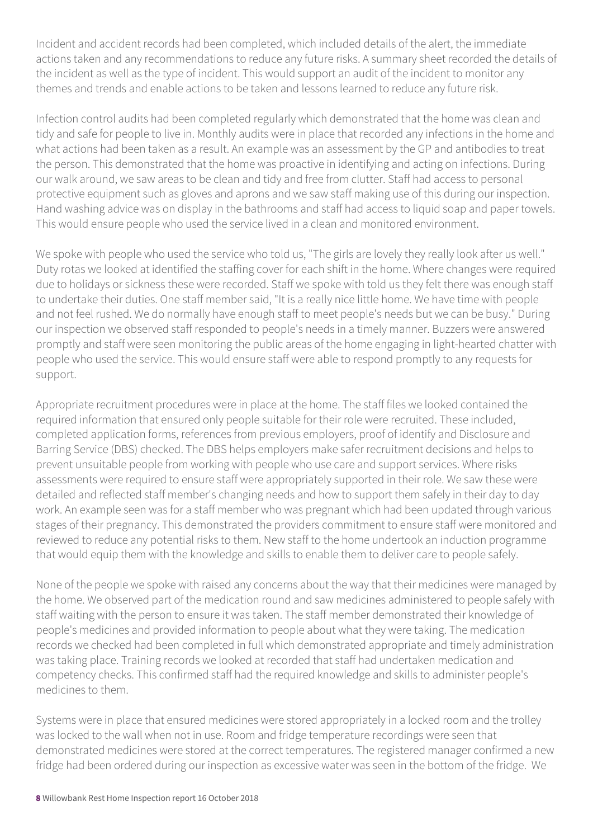Incident and accident records had been completed, which included details of the alert, the immediate actions taken and any recommendations to reduce any future risks. A summary sheet recorded the details of the incident as well as the type of incident. This would support an audit of the incident to monitor any themes and trends and enable actions to be taken and lessons learned to reduce any future risk.

Infection control audits had been completed regularly which demonstrated that the home was clean and tidy and safe for people to live in. Monthly audits were in place that recorded any infections in the home and what actions had been taken as a result. An example was an assessment by the GP and antibodies to treat the person. This demonstrated that the home was proactive in identifying and acting on infections. During our walk around, we saw areas to be clean and tidy and free from clutter. Staff had access to personal protective equipment such as gloves and aprons and we saw staff making use of this during our inspection. Hand washing advice was on display in the bathrooms and staff had access to liquid soap and paper towels. This would ensure people who used the service lived in a clean and monitored environment.

We spoke with people who used the service who told us, "The girls are lovely they really look after us well." Duty rotas we looked at identified the staffing cover for each shift in the home. Where changes were required due to holidays or sickness these were recorded. Staff we spoke with told us they felt there was enough staff to undertake their duties. One staff member said, "It is a really nice little home. We have time with people and not feel rushed. We do normally have enough staff to meet people's needs but we can be busy." During our inspection we observed staff responded to people's needs in a timely manner. Buzzers were answered promptly and staff were seen monitoring the public areas of the home engaging in light-hearted chatter with people who used the service. This would ensure staff were able to respond promptly to any requests for support.

Appropriate recruitment procedures were in place at the home. The staff files we looked contained the required information that ensured only people suitable for their role were recruited. These included, completed application forms, references from previous employers, proof of identify and Disclosure and Barring Service (DBS) checked. The DBS helps employers make safer recruitment decisions and helps to prevent unsuitable people from working with people who use care and support services. Where risks assessments were required to ensure staff were appropriately supported in their role. We saw these were detailed and reflected staff member's changing needs and how to support them safely in their day to day work. An example seen was for a staff member who was pregnant which had been updated through various stages of their pregnancy. This demonstrated the providers commitment to ensure staff were monitored and reviewed to reduce any potential risks to them. New staff to the home undertook an induction programme that would equip them with the knowledge and skills to enable them to deliver care to people safely.

None of the people we spoke with raised any concerns about the way that their medicines were managed by the home. We observed part of the medication round and saw medicines administered to people safely with staff waiting with the person to ensure it was taken. The staff member demonstrated their knowledge of people's medicines and provided information to people about what they were taking. The medication records we checked had been completed in full which demonstrated appropriate and timely administration was taking place. Training records we looked at recorded that staff had undertaken medication and competency checks. This confirmed staff had the required knowledge and skills to administer people's medicines to them.

Systems were in place that ensured medicines were stored appropriately in a locked room and the trolley was locked to the wall when not in use. Room and fridge temperature recordings were seen that demonstrated medicines were stored at the correct temperatures. The registered manager confirmed a new fridge had been ordered during our inspection as excessive water was seen in the bottom of the fridge. We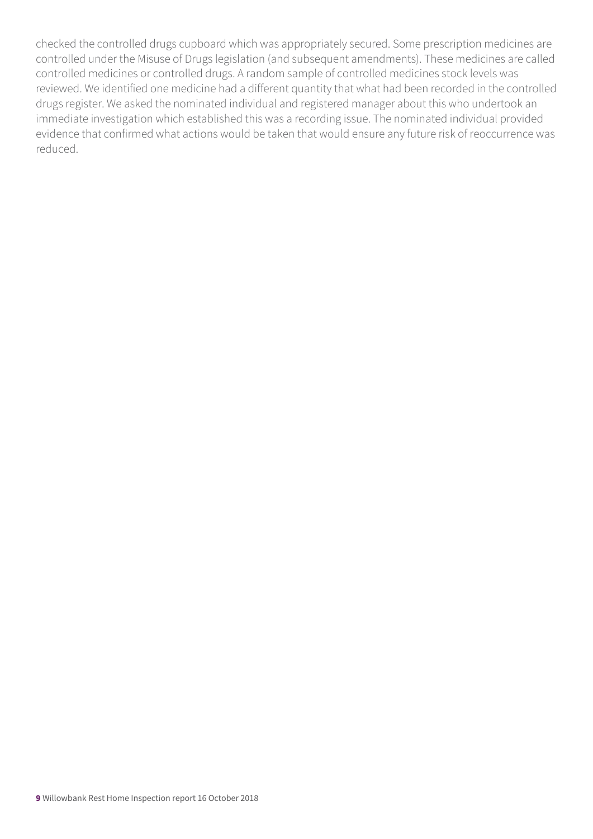checked the controlled drugs cupboard which was appropriately secured. Some prescription medicines are controlled under the Misuse of Drugs legislation (and subsequent amendments). These medicines are called controlled medicines or controlled drugs. A random sample of controlled medicines stock levels was reviewed. We identified one medicine had a different quantity that what had been recorded in the controlled drugs register. We asked the nominated individual and registered manager about this who undertook an immediate investigation which established this was a recording issue. The nominated individual provided evidence that confirmed what actions would be taken that would ensure any future risk of reoccurrence was reduced.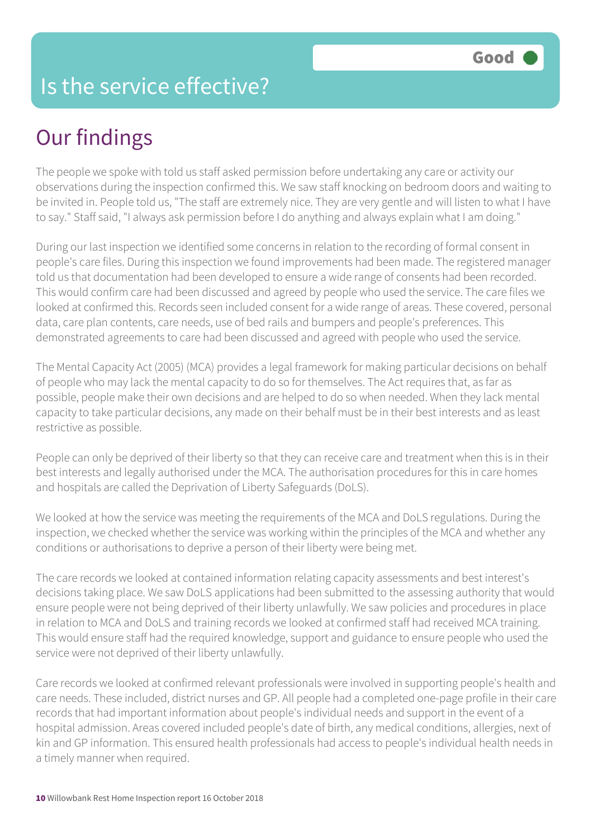### Is the service effective?

## Our findings

The people we spoke with told us staff asked permission before undertaking any care or activity our observations during the inspection confirmed this. We saw staff knocking on bedroom doors and waiting to be invited in. People told us, "The staff are extremely nice. They are very gentle and will listen to what I have to say." Staff said, "I always ask permission before I do anything and always explain what I am doing."

During our last inspection we identified some concerns in relation to the recording of formal consent in people's care files. During this inspection we found improvements had been made. The registered manager told us that documentation had been developed to ensure a wide range of consents had been recorded. This would confirm care had been discussed and agreed by people who used the service. The care files we looked at confirmed this. Records seen included consent for a wide range of areas. These covered, personal data, care plan contents, care needs, use of bed rails and bumpers and people's preferences. This demonstrated agreements to care had been discussed and agreed with people who used the service.

The Mental Capacity Act (2005) (MCA) provides a legal framework for making particular decisions on behalf of people who may lack the mental capacity to do so for themselves. The Act requires that, as far as possible, people make their own decisions and are helped to do so when needed. When they lack mental capacity to take particular decisions, any made on their behalf must be in their best interests and as least restrictive as possible.

People can only be deprived of their liberty so that they can receive care and treatment when this is in their best interests and legally authorised under the MCA. The authorisation procedures for this in care homes and hospitals are called the Deprivation of Liberty Safeguards (DoLS).

We looked at how the service was meeting the requirements of the MCA and DoLS regulations. During the inspection, we checked whether the service was working within the principles of the MCA and whether any conditions or authorisations to deprive a person of their liberty were being met.

The care records we looked at contained information relating capacity assessments and best interest's decisions taking place. We saw DoLS applications had been submitted to the assessing authority that would ensure people were not being deprived of their liberty unlawfully. We saw policies and procedures in place in relation to MCA and DoLS and training records we looked at confirmed staff had received MCA training. This would ensure staff had the required knowledge, support and guidance to ensure people who used the service were not deprived of their liberty unlawfully.

Care records we looked at confirmed relevant professionals were involved in supporting people's health and care needs. These included, district nurses and GP. All people had a completed one-page profile in their care records that had important information about people's individual needs and support in the event of a hospital admission. Areas covered included people's date of birth, any medical conditions, allergies, next of kin and GP information. This ensured health professionals had access to people's individual health needs in a timely manner when required.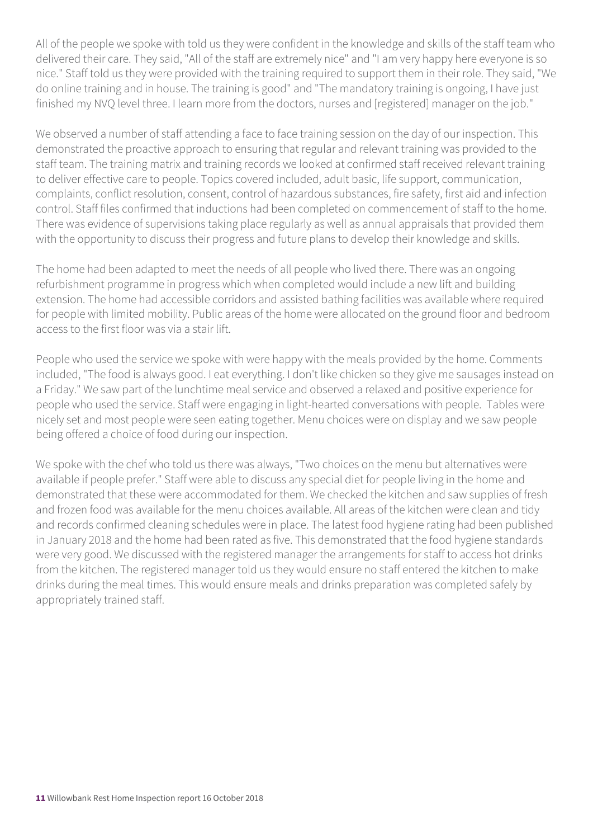All of the people we spoke with told us they were confident in the knowledge and skills of the staff team who delivered their care. They said, "All of the staff are extremely nice" and "I am very happy here everyone is so nice." Staff told us they were provided with the training required to support them in their role. They said, "We do online training and in house. The training is good" and "The mandatory training is ongoing, I have just finished my NVQ level three. I learn more from the doctors, nurses and [registered] manager on the job."

We observed a number of staff attending a face to face training session on the day of our inspection. This demonstrated the proactive approach to ensuring that regular and relevant training was provided to the staff team. The training matrix and training records we looked at confirmed staff received relevant training to deliver effective care to people. Topics covered included, adult basic, life support, communication, complaints, conflict resolution, consent, control of hazardous substances, fire safety, first aid and infection control. Staff files confirmed that inductions had been completed on commencement of staff to the home. There was evidence of supervisions taking place regularly as well as annual appraisals that provided them with the opportunity to discuss their progress and future plans to develop their knowledge and skills.

The home had been adapted to meet the needs of all people who lived there. There was an ongoing refurbishment programme in progress which when completed would include a new lift and building extension. The home had accessible corridors and assisted bathing facilities was available where required for people with limited mobility. Public areas of the home were allocated on the ground floor and bedroom access to the first floor was via a stair lift.

People who used the service we spoke with were happy with the meals provided by the home. Comments included, "The food is always good. I eat everything. I don't like chicken so they give me sausages instead on a Friday." We saw part of the lunchtime meal service and observed a relaxed and positive experience for people who used the service. Staff were engaging in light-hearted conversations with people. Tables were nicely set and most people were seen eating together. Menu choices were on display and we saw people being offered a choice of food during our inspection.

We spoke with the chef who told us there was always, "Two choices on the menu but alternatives were available if people prefer." Staff were able to discuss any special diet for people living in the home and demonstrated that these were accommodated for them. We checked the kitchen and saw supplies of fresh and frozen food was available for the menu choices available. All areas of the kitchen were clean and tidy and records confirmed cleaning schedules were in place. The latest food hygiene rating had been published in January 2018 and the home had been rated as five. This demonstrated that the food hygiene standards were very good. We discussed with the registered manager the arrangements for staff to access hot drinks from the kitchen. The registered manager told us they would ensure no staff entered the kitchen to make drinks during the meal times. This would ensure meals and drinks preparation was completed safely by appropriately trained staff.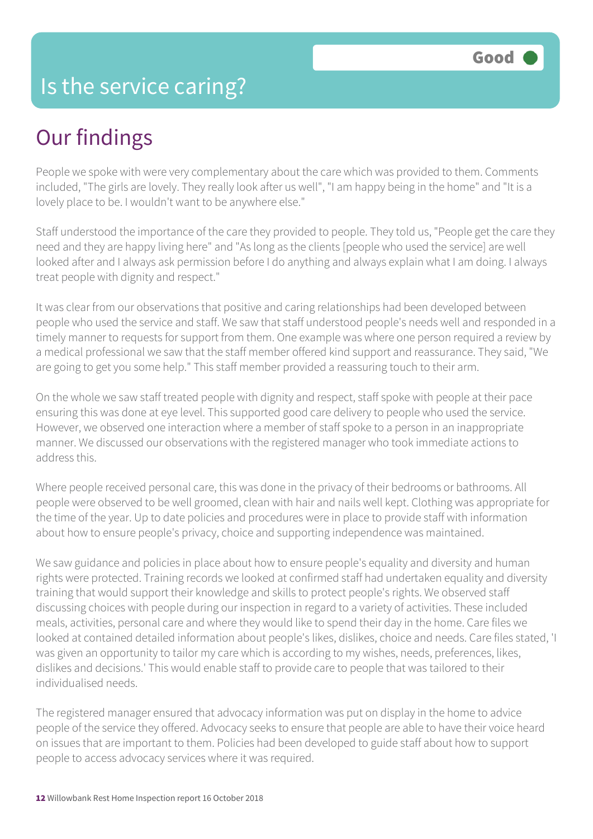#### Is the service caring?

### Our findings

People we spoke with were very complementary about the care which was provided to them. Comments included, "The girls are lovely. They really look after us well", "I am happy being in the home" and "It is a lovely place to be. I wouldn't want to be anywhere else."

Staff understood the importance of the care they provided to people. They told us, "People get the care they need and they are happy living here" and "As long as the clients [people who used the service] are well looked after and I always ask permission before I do anything and always explain what I am doing. I always treat people with dignity and respect."

It was clear from our observations that positive and caring relationships had been developed between people who used the service and staff. We saw that staff understood people's needs well and responded in a timely manner to requests for support from them. One example was where one person required a review by a medical professional we saw that the staff member offered kind support and reassurance. They said, "We are going to get you some help." This staff member provided a reassuring touch to their arm.

On the whole we saw staff treated people with dignity and respect, staff spoke with people at their pace ensuring this was done at eye level. This supported good care delivery to people who used the service. However, we observed one interaction where a member of staff spoke to a person in an inappropriate manner. We discussed our observations with the registered manager who took immediate actions to address this.

Where people received personal care, this was done in the privacy of their bedrooms or bathrooms. All people were observed to be well groomed, clean with hair and nails well kept. Clothing was appropriate for the time of the year. Up to date policies and procedures were in place to provide staff with information about how to ensure people's privacy, choice and supporting independence was maintained.

We saw guidance and policies in place about how to ensure people's equality and diversity and human rights were protected. Training records we looked at confirmed staff had undertaken equality and diversity training that would support their knowledge and skills to protect people's rights. We observed staff discussing choices with people during our inspection in regard to a variety of activities. These included meals, activities, personal care and where they would like to spend their day in the home. Care files we looked at contained detailed information about people's likes, dislikes, choice and needs. Care files stated, 'I was given an opportunity to tailor my care which is according to my wishes, needs, preferences, likes, dislikes and decisions.' This would enable staff to provide care to people that was tailored to their individualised needs.

The registered manager ensured that advocacy information was put on display in the home to advice people of the service they offered. Advocacy seeks to ensure that people are able to have their voice heard on issues that are important to them. Policies had been developed to guide staff about how to support people to access advocacy services where it was required.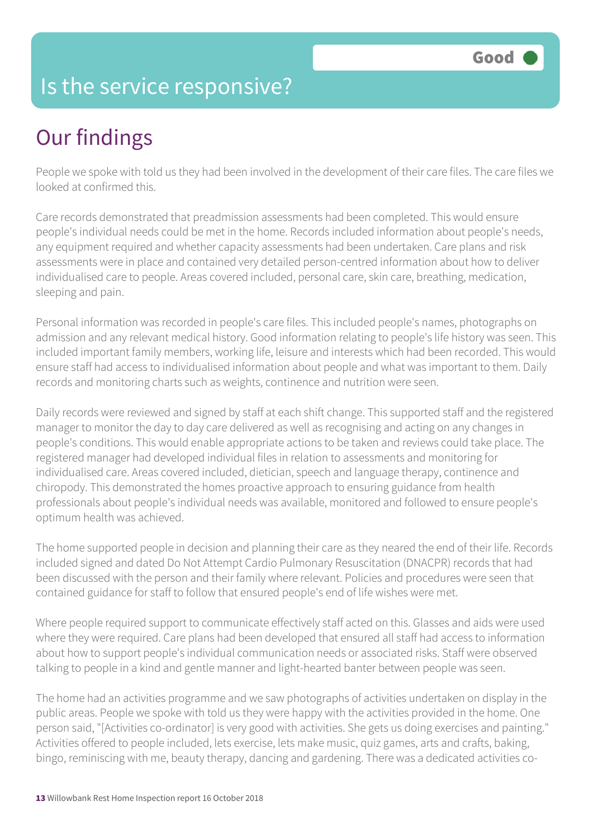### Is the service responsive?

## Our findings

People we spoke with told us they had been involved in the development of their care files. The care files we looked at confirmed this.

Care records demonstrated that preadmission assessments had been completed. This would ensure people's individual needs could be met in the home. Records included information about people's needs, any equipment required and whether capacity assessments had been undertaken. Care plans and risk assessments were in place and contained very detailed person-centred information about how to deliver individualised care to people. Areas covered included, personal care, skin care, breathing, medication, sleeping and pain.

Personal information was recorded in people's care files. This included people's names, photographs on admission and any relevant medical history. Good information relating to people's life history was seen. This included important family members, working life, leisure and interests which had been recorded. This would ensure staff had access to individualised information about people and what was important to them. Daily records and monitoring charts such as weights, continence and nutrition were seen.

Daily records were reviewed and signed by staff at each shift change. This supported staff and the registered manager to monitor the day to day care delivered as well as recognising and acting on any changes in people's conditions. This would enable appropriate actions to be taken and reviews could take place. The registered manager had developed individual files in relation to assessments and monitoring for individualised care. Areas covered included, dietician, speech and language therapy, continence and chiropody. This demonstrated the homes proactive approach to ensuring guidance from health professionals about people's individual needs was available, monitored and followed to ensure people's optimum health was achieved.

The home supported people in decision and planning their care as they neared the end of their life. Records included signed and dated Do Not Attempt Cardio Pulmonary Resuscitation (DNACPR) records that had been discussed with the person and their family where relevant. Policies and procedures were seen that contained guidance for staff to follow that ensured people's end of life wishes were met.

Where people required support to communicate effectively staff acted on this. Glasses and aids were used where they were required. Care plans had been developed that ensured all staff had access to information about how to support people's individual communication needs or associated risks. Staff were observed talking to people in a kind and gentle manner and light-hearted banter between people was seen.

The home had an activities programme and we saw photographs of activities undertaken on display in the public areas. People we spoke with told us they were happy with the activities provided in the home. One person said, "[Activities co-ordinator] is very good with activities. She gets us doing exercises and painting." Activities offered to people included, lets exercise, lets make music, quiz games, arts and crafts, baking, bingo, reminiscing with me, beauty therapy, dancing and gardening. There was a dedicated activities co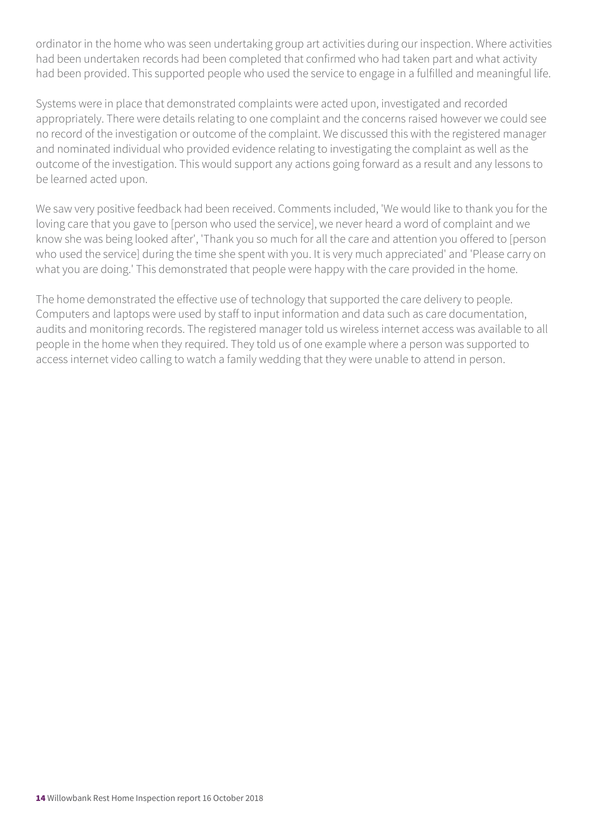ordinator in the home who was seen undertaking group art activities during our inspection. Where activities had been undertaken records had been completed that confirmed who had taken part and what activity had been provided. This supported people who used the service to engage in a fulfilled and meaningful life.

Systems were in place that demonstrated complaints were acted upon, investigated and recorded appropriately. There were details relating to one complaint and the concerns raised however we could see no record of the investigation or outcome of the complaint. We discussed this with the registered manager and nominated individual who provided evidence relating to investigating the complaint as well as the outcome of the investigation. This would support any actions going forward as a result and any lessons to be learned acted upon.

We saw very positive feedback had been received. Comments included, 'We would like to thank you for the loving care that you gave to [person who used the service], we never heard a word of complaint and we know she was being looked after', 'Thank you so much for all the care and attention you offered to [person who used the service] during the time she spent with you. It is very much appreciated' and 'Please carry on what you are doing.' This demonstrated that people were happy with the care provided in the home.

The home demonstrated the effective use of technology that supported the care delivery to people. Computers and laptops were used by staff to input information and data such as care documentation, audits and monitoring records. The registered manager told us wireless internet access was available to all people in the home when they required. They told us of one example where a person was supported to access internet video calling to watch a family wedding that they were unable to attend in person.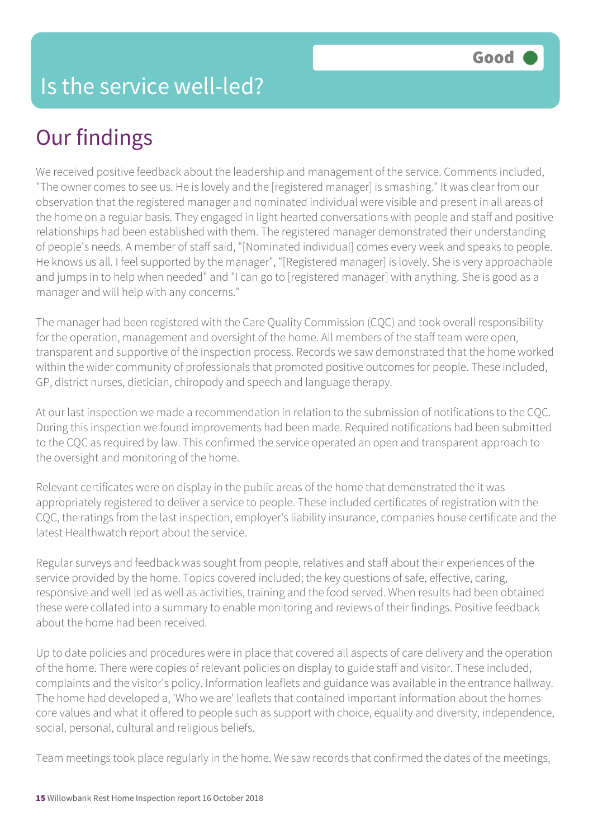# Our findings

We received positive feedback about the leadership and management of the service. Comments included, "The owner comes to see us. He is lovely and the [registered manager] is smashing." It was clear from our observation that the registered manager and nominated individual were visible and present in all areas of the home on a regular basis. They engaged in light hearted conversations with people and staff and positive relationships had been established with them. The registered manager demonstrated their understanding of people's needs. A member of staff said, "[Nominated individual] comes every week and speaks to people. He knows us all. I feel supported by the manager", "[Registered manager] is lovely. She is very approachable and jumps in to help when needed" and "I can go to [registered manager] with anything. She is good as a manager and will help with any concerns."

The manager had been registered with the Care Quality Commission (CQC) and took overall responsibility for the operation, management and oversight of the home. All members of the staff team were open, transparent and supportive of the inspection process. Records we saw demonstrated that the home worked within the wider community of professionals that promoted positive outcomes for people. These included, GP, district nurses, dietician, chiropody and speech and language therapy.

At our last inspection we made a recommendation in relation to the submission of notifications to the CQC. During this inspection we found improvements had been made. Required notifications had been submitted to the CQC as required by law. This confirmed the service operated an open and transparent approach to the oversight and monitoring of the home.

Relevant certificates were on display in the public areas of the home that demonstrated the it was appropriately registered to deliver a service to people. These included certificates of registration with the CQC, the ratings from the last inspection, employer's liability insurance, companies house certificate and the latest Healthwatch report about the service.

Regular surveys and feedback was sought from people, relatives and staff about their experiences of the service provided by the home. Topics covered included; the key questions of safe, effective, caring, responsive and well led as well as activities, training and the food served. When results had been obtained these were collated into a summary to enable monitoring and reviews of their findings. Positive feedback about the home had been received.

Up to date policies and procedures were in place that covered all aspects of care delivery and the operation of the home. There were copies of relevant policies on display to guide staff and visitor. These included, complaints and the visitor's policy. Information leaflets and guidance was available in the entrance hallway. The home had developed a, 'Who we are' leaflets that contained important information about the homes core values and what it offered to people such as support with choice, equality and diversity, independence, social, personal, cultural and religious beliefs.

Team meetings took place regularly in the home. We saw records that confirmed the dates of the meetings,